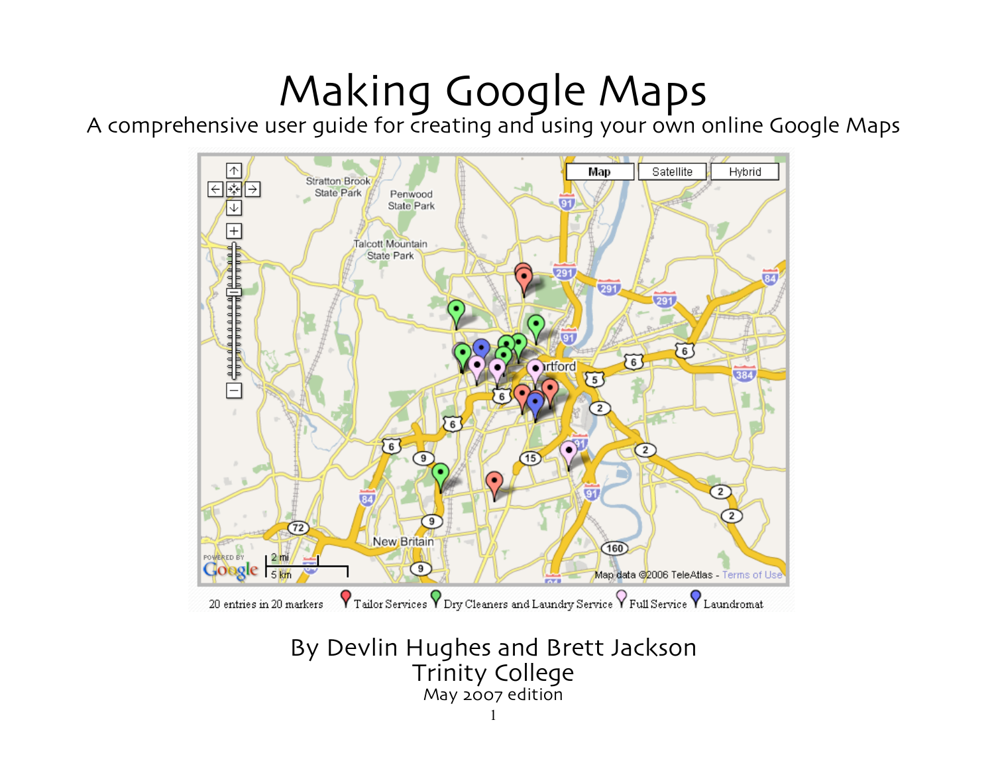# Making Google Maps

A comprehensive user guide for creating and using your own online Google Maps



By Devlin Hughes and Brett Jackson Trinity College May 2007 edition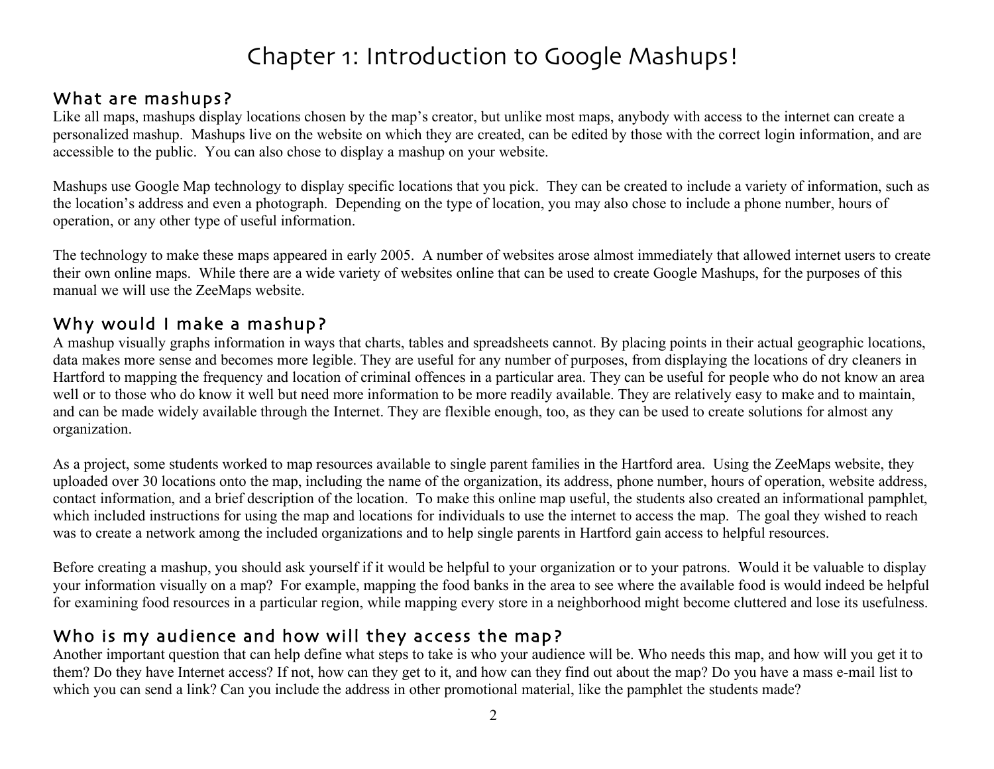# Chapter 1: Introduction to Google Mashups!

### What are mashups?

Like all maps, mashups display locations chosen by the map's creator, but unlike most maps, anybody with access to the internet can create a personalized mashup. Mashups live on the website on which they are created, can be edited by those with the correct login information, and are accessible to the public. You can also chose to display a mashup on your website.

Mashups use Google Map technology to display specific locations that you pick. They can be created to include a variety of information, such as the location's address and even a photograph. Depending on the type of location, you may also chose to include a phone number, hours of operation, or any other type of useful information.

The technology to make these maps appeared in early 2005. A number of websites arose almost immediately that allowed internet users to create their own online maps. While there are a wide variety of websites online that can be used to create Google Mashups, for the purposes of this manual we will use the ZeeMaps website.

### Why would I make a mashup?

A mashup visually graphs information in ways that charts, tables and spreadsheets cannot. By placing points in their actual geographic locations, data makes more sense and becomes more legible. They are useful for any number of purposes, from displaying the locations of dry cleaners in Hartford to mapping the frequency and location of criminal offences in a particular area. They can be useful for people who do not know an area well or to those who do know it well but need more information to be more readily available. They are relatively easy to make and to maintain, and can be made widely available through the Internet. They are flexible enough, too, as they can be used to create solutions for almost any organization.

As a project, some students worked to map resources available to single parent families in the Hartford area. Using the ZeeMaps website, they uploaded over 30 locations onto the map, including the name of the organization, its address, phone number, hours of operation, website address, contact information, and a brief description of the location. To make this online map useful, the students also created an informational pamphlet, which included instructions for using the map and locations for individuals to use the internet to access the map. The goal they wished to reach was to create a network among the included organizations and to help single parents in Hartford gain access to helpful resources.

Before creating a mashup, you should ask yourself if it would be helpful to your organization or to your patrons. Would it be valuable to display your information visually on a map? For example, mapping the food banks in the area to see where the available food is would indeed be helpful for examining food resources in a particular region, while mapping every store in a neighborhood might become cluttered and lose its usefulness.

### Who is my audience and how will they access the map?

Another important question that can help define what steps to take is who your audience will be. Who needs this map, and how will you get it to them? Do they have Internet access? If not, how can they get to it, and how can they find out about the map? Do you have a mass e-mail list to which you can send a link? Can you include the address in other promotional material, like the pamphlet the students made?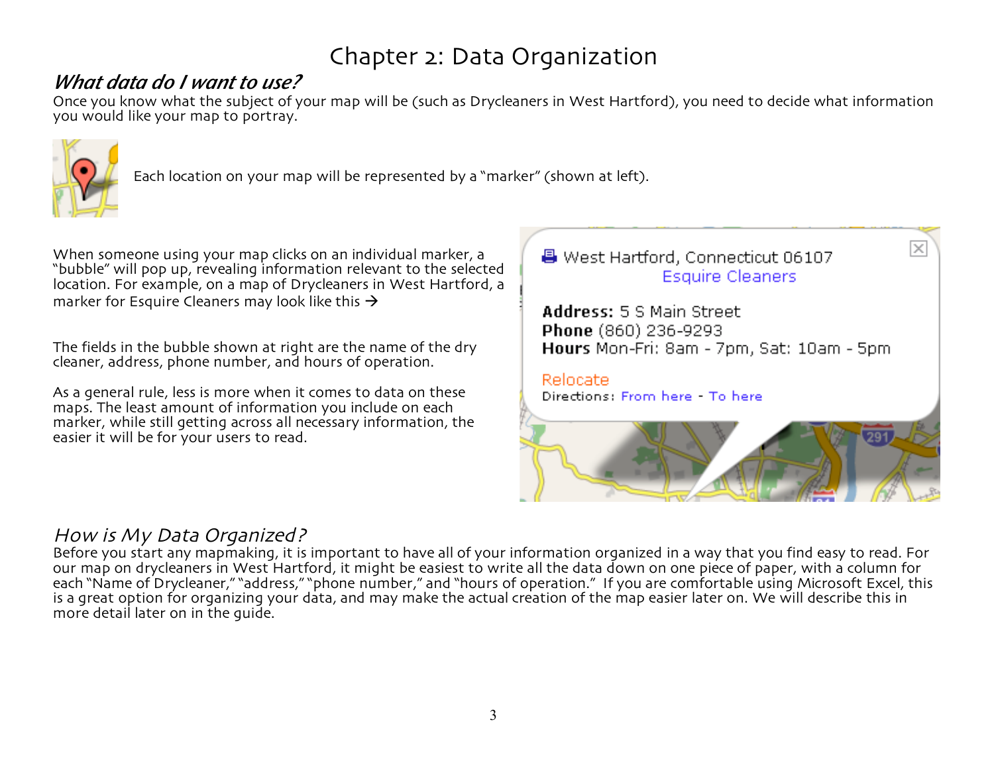# Chapter 2: Data Organization

# *What data do I want to use?*

Once you know what the subject of your map will be (such as Drycleaners in West Hartford), you need to decide what information you would like your map to portray.



Each location on your map will be represented by a "marker" (shown at left).

When someone using your map clicks on an individual marker, a "bubble" will pop up, revealing information relevant to the selected location. For example, on a map of Drycleaners in West Hartford, a marker for Esquire Cleaners may look like this  $\rightarrow$ 

The fields in the bubble shown at right are the name of the dry cleaner, address, phone number, and hours of operation.

As a general rule, less is more when it comes to data on these maps. The least amount of information you include on each marker, while still getting across all necessary information, the easier it will be for your users to read.



### How is My Data Organized?

Before you start any mapmaking, it is important to have all of your information organized in a way that you find easy to read. For our map on drycleaners in West Hartford, it might be easiest to write all the data down on one piece of paper, with a column for each "Name of Drycleaner," "address," "phone number," and "hours of operation." If you are comfortable using Microsoft Excel, this is a great option for organizing your data, and may make the actual creation of the map easier later on. We will describe this in more detail later on in the guide.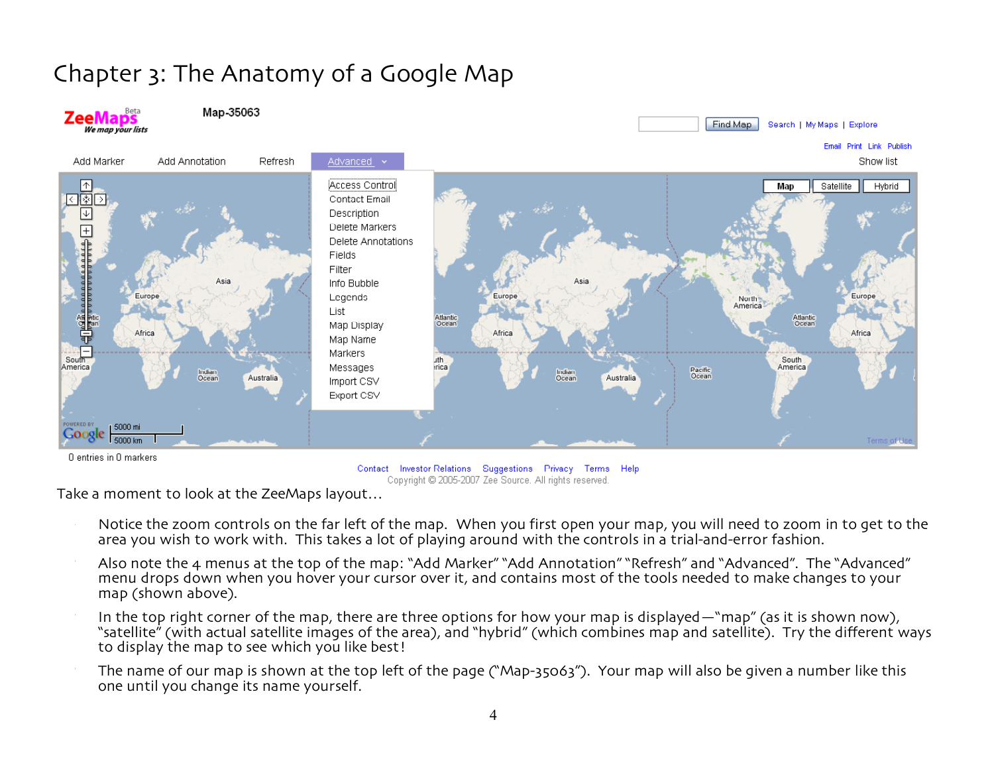# Chapter 3: The Anatomy of a Google Map



Contact Investor Relations Suggestions Privacy Terms Help Copyright @ 2005-2007 Zee Source. All rights reserved.

Take a moment to look at the ZeeMaps layout…

- Notice the zoom controls on the far left of the map. When you first open your map, you will need to zoom in to get to the area you wish to work with. This takes a lot of playing around with the controls in a trial-and-error fashion.
- Also note the 4 menus at the top of the map: "Add Marker" "Add Annotation" "Refresh" and "Advanced". The "Advanced" menu drops down when you hover your cursor over it, and contains most of the tools needed to make changes to your map (shown above).
- In the top right corner of the map, there are three options for how your map is displayed—"map" (as it is shown now), "satellite" (with actual satellite images of the area), and "hybrid" (which combines map and satellite). Try the different ways to display the map to see which you like best!
- The name of our map is shown at the top left of the page ("Map-35063"). Your map will also be given a number like this one until you change its name yourself.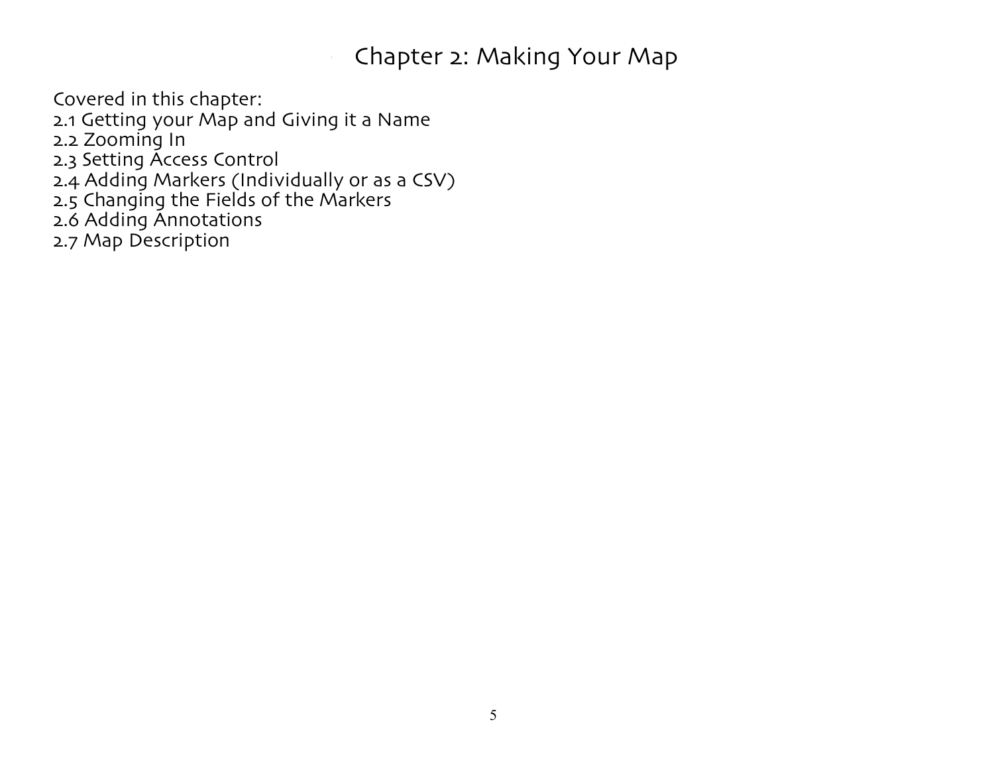# - Chapter 2: Making Your Map

Covered in this chapter:

2.1 Getting your Map and Giving it a Name

2.2 Zooming In

2.3 Setting Access Control

2.4 Adding Markers (Individually or as a CSV)

2.5 Changing the Fields of the Markers

2.6 Adding Annotations

2.7 Map Description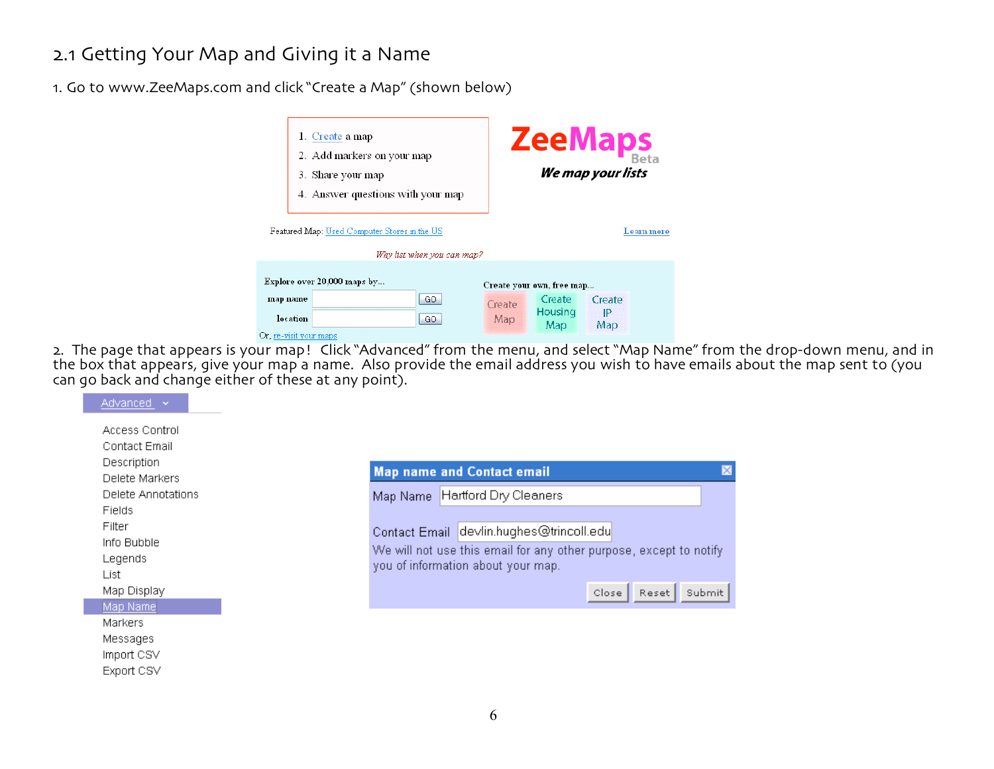### 2.1 Getting Your Map and Giving it a Name

1. Go to www.ZeeMaps.com and click "Create a Map" (shown below)

|                                    | 1. Create a map<br>2. Add markers on your map<br>3. Share your map<br>4. Answer questions with your map<br>Featured Map: Used Computer Stores in the US | Why list when you can map? |               |                                     | ZeeMaps<br>We map your lists<br>Learn more |  |
|------------------------------------|---------------------------------------------------------------------------------------------------------------------------------------------------------|----------------------------|---------------|-------------------------------------|--------------------------------------------|--|
| map name                           | Explore over 20,000 maps by                                                                                                                             | GO.                        |               | Create your own, free map<br>Create | Create                                     |  |
| location<br>Or, re-visit your maps |                                                                                                                                                         | GO                         | Create<br>Map | Housing<br>Map                      | IP<br>Map                                  |  |

2. The page that appears is your map! Click "Advanced" from the menu, and select "Map Name" from the drop-down menu, and in the box that appears, give your map a name. Also provide the email address you wish to have emails about the map sent to (you can go back and change either of these at any point).

| Access Control     |                                                                    |
|--------------------|--------------------------------------------------------------------|
| Contact Email      |                                                                    |
| Description        | $\mathbb{\times}$<br><b>Map name and Contact email</b>             |
| Delete Markers     |                                                                    |
| Delete Annotations | Hartford Dry Cleaners<br>Map Name                                  |
| <b>Fields</b>      |                                                                    |
| Filter             | Contact Email devlin.hughes@trincoll.edu                           |
| Info Bubble        |                                                                    |
| Legends            | We will not use this email for any other purpose, except to notify |
| List               | you of information about your map.                                 |
| Map Display        | Close<br>Submit<br>Reset                                           |
|                    |                                                                    |
| Map Name           |                                                                    |
| <b>Markers</b>     |                                                                    |
| Messages           |                                                                    |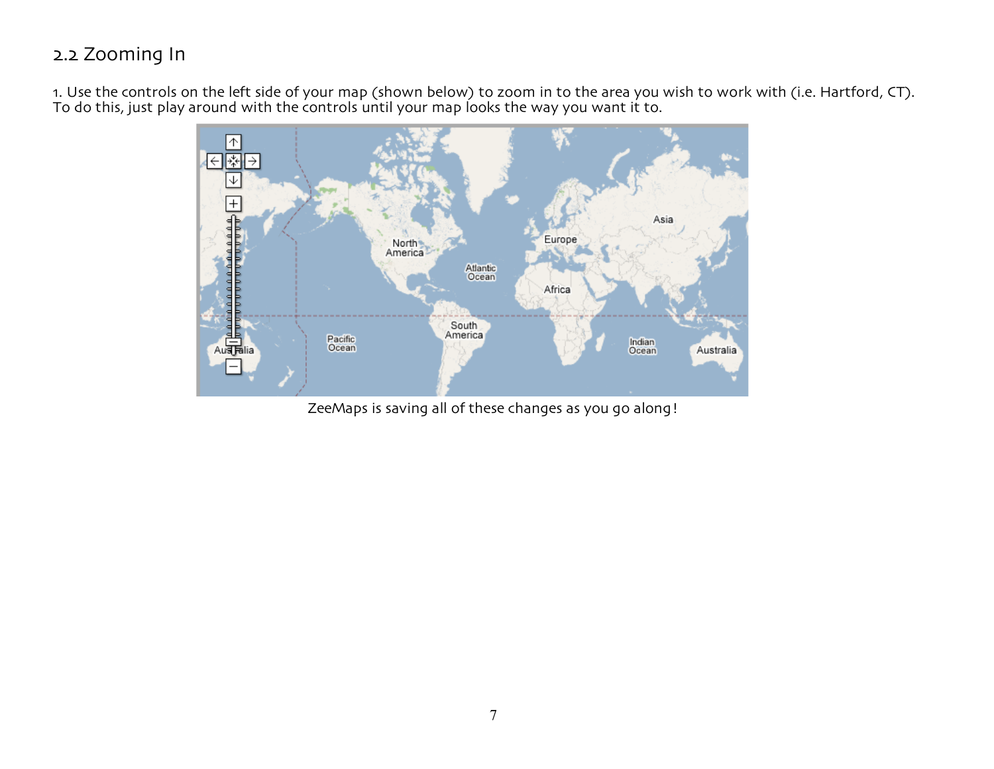# 2.2 Zooming In

1. Use the controls on the left side of your map (shown below) to zoom in to the area you wish to work with (i.e. Hartford, CT). To do this, just play around with the controls until your map looks the way you want it to.



ZeeMaps is saving all of these changes as you go along!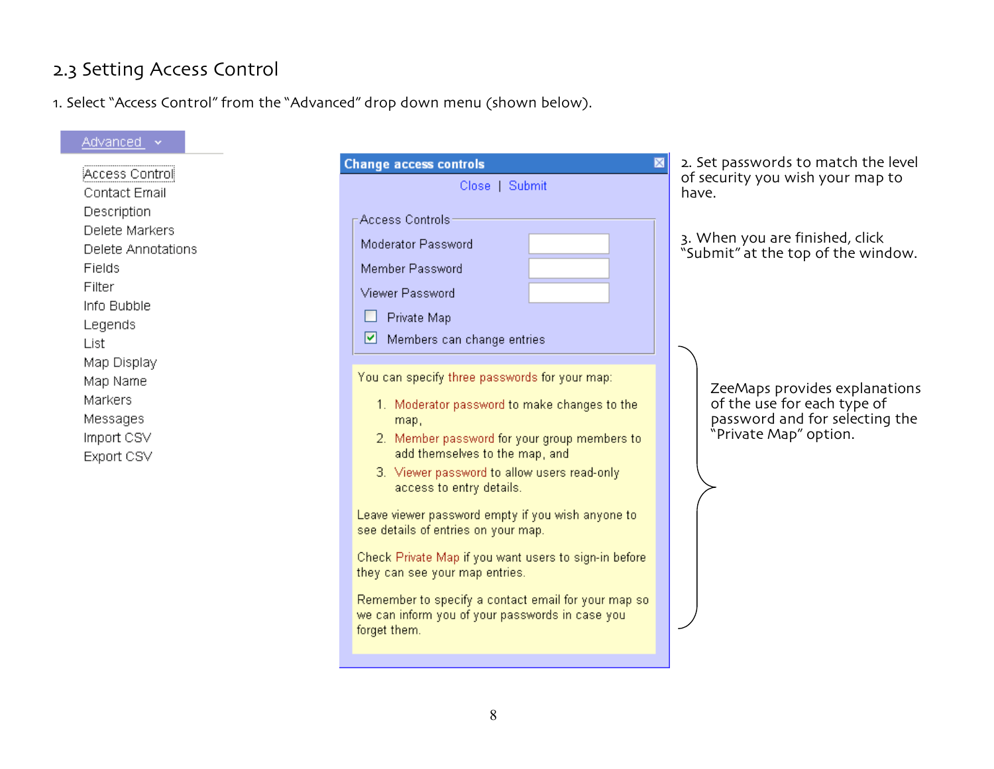# 2.3 Setting Access Control

1. Select "Access Control" from the "Advanced" drop down menu (shown below).

| Advanced ~                                                                                                                                                                              |                                                                                                                                                                                                                                                                                                                                                                                                                                                                                                                                                                                                                                                                                                                       |                                                                                                                                                                                                  |
|-----------------------------------------------------------------------------------------------------------------------------------------------------------------------------------------|-----------------------------------------------------------------------------------------------------------------------------------------------------------------------------------------------------------------------------------------------------------------------------------------------------------------------------------------------------------------------------------------------------------------------------------------------------------------------------------------------------------------------------------------------------------------------------------------------------------------------------------------------------------------------------------------------------------------------|--------------------------------------------------------------------------------------------------------------------------------------------------------------------------------------------------|
| Access Control<br><b>Contact Email</b>                                                                                                                                                  | <b>Change access controls</b><br>Close   Submit                                                                                                                                                                                                                                                                                                                                                                                                                                                                                                                                                                                                                                                                       | 2. Set passwords to match the level<br>of security you wish your map to<br>have.                                                                                                                 |
| Description<br>Delete Markers<br>Delete Annotations<br>Fields<br>Filter<br>Info Bubble<br>Legends<br>List<br>Map Display<br>Map Name<br>Markers<br>Messages<br>Import CSV<br>Export CSV | Access Controls:<br>Moderator Password<br>Member Password<br>Viewer Password<br>Private Map<br>☑<br>Members can change entries<br>You can specify three passwords for your map:<br>1. Moderator password to make changes to the<br>map,<br>2. Member password for your group members to<br>add themselves to the map, and<br>3. Viewer password to allow users read-only<br>access to entry details.<br>Leave viewer password empty if you wish anyone to<br>see details of entries on your map.<br>Check Private Map if you want users to sign-in before<br>they can see your map entries.<br>Remember to specify a contact email for your map so<br>we can inform you of your passwords in case you<br>forget them. | 3. When you are finished, click<br>"Submit" at the top of the window.<br>ZeeMaps provides explanations<br>of the use for each type of<br>password and for selecting the<br>"Private Map" option. |
|                                                                                                                                                                                         |                                                                                                                                                                                                                                                                                                                                                                                                                                                                                                                                                                                                                                                                                                                       |                                                                                                                                                                                                  |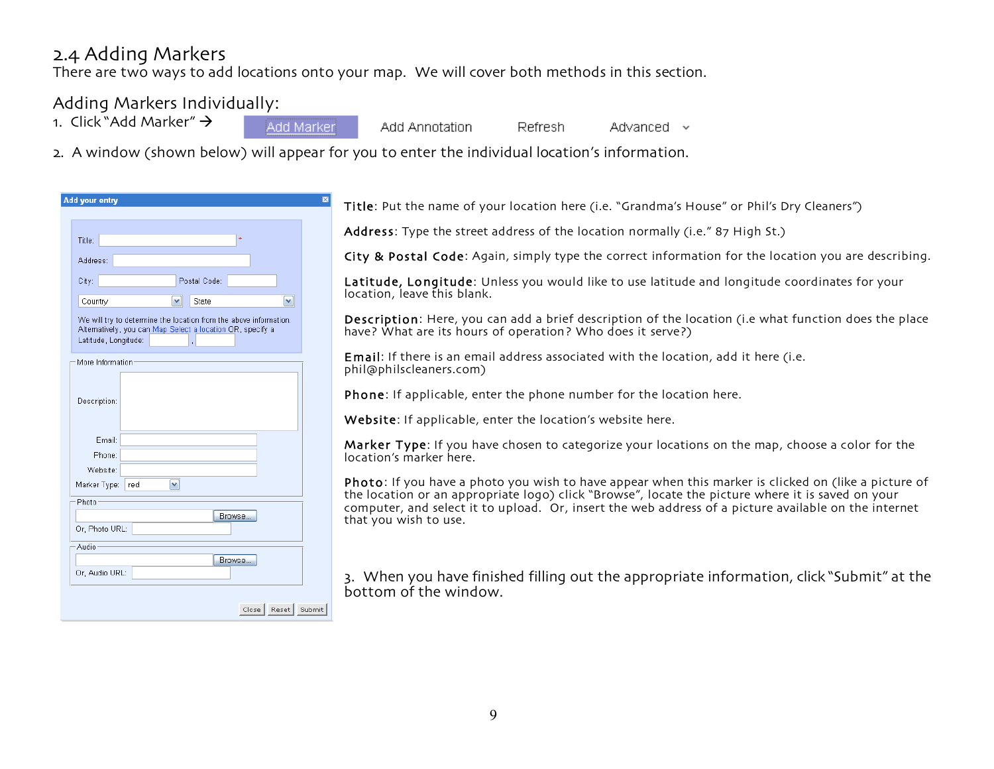### 2.4 Adding Markers

There are two ways to add locations onto your map. We will cover both methods in this section.

### Adding Markers Individually:

- 1. Click "Add Marker"  $\rightarrow$
- Add Marker

Add Annotation

Refresh. Advanced  $\sim$ 

2. A window (shown below) will appear for you to enter the individual location's information.

| $\star$<br>Title:<br>Address:<br>Postal Code:<br>City:<br>State<br>Country<br>v<br>We will try to determine the location from the above information.<br>Alternatively, you can Map Select a location OR, specify a<br>Latitude, Longitude:<br>More Information<br>Description:<br>Email:<br>Phone:<br>Website:<br>Marker Type:<br>red<br>v.<br>Photo<br>Browse<br>Browse | au yvui viiu,  |
|--------------------------------------------------------------------------------------------------------------------------------------------------------------------------------------------------------------------------------------------------------------------------------------------------------------------------------------------------------------------------|----------------|
|                                                                                                                                                                                                                                                                                                                                                                          |                |
|                                                                                                                                                                                                                                                                                                                                                                          |                |
|                                                                                                                                                                                                                                                                                                                                                                          |                |
|                                                                                                                                                                                                                                                                                                                                                                          |                |
|                                                                                                                                                                                                                                                                                                                                                                          |                |
|                                                                                                                                                                                                                                                                                                                                                                          |                |
|                                                                                                                                                                                                                                                                                                                                                                          |                |
|                                                                                                                                                                                                                                                                                                                                                                          |                |
|                                                                                                                                                                                                                                                                                                                                                                          |                |
|                                                                                                                                                                                                                                                                                                                                                                          |                |
|                                                                                                                                                                                                                                                                                                                                                                          |                |
|                                                                                                                                                                                                                                                                                                                                                                          |                |
|                                                                                                                                                                                                                                                                                                                                                                          |                |
|                                                                                                                                                                                                                                                                                                                                                                          |                |
|                                                                                                                                                                                                                                                                                                                                                                          |                |
|                                                                                                                                                                                                                                                                                                                                                                          |                |
|                                                                                                                                                                                                                                                                                                                                                                          |                |
|                                                                                                                                                                                                                                                                                                                                                                          |                |
|                                                                                                                                                                                                                                                                                                                                                                          |                |
|                                                                                                                                                                                                                                                                                                                                                                          | Or, Photo URL: |
|                                                                                                                                                                                                                                                                                                                                                                          | Audio          |
|                                                                                                                                                                                                                                                                                                                                                                          |                |
|                                                                                                                                                                                                                                                                                                                                                                          | Or, Audio URL: |

Title: Put the name of your location here (i.e. "Grandma's House" or Phil's Dry Cleaners")

Address: Type the street address of the location normally (i.e." 87 High St.)

City & Postal Code: Again, simply type the correct information for the location you are describing.

Latitude, Longitude: Unless you would like to use latitude and longitude coordinates for your location, leave this blank.

Description: Here, you can add a brief description of the location (i.e what function does the place have? What are its hours of operation? Who does it serve?)

Email: If there is an email address associated with the location, add it here (i.e. phil@philscleaners.com)

Phone: If applicable, enter the phone number for the location here.

Website: If applicable, enter the location's website here.

Marker Type: If you have chosen to categorize your locations on the map, choose a color for the location's marker here.

Photo: If you have a photo you wish to have appear when this marker is clicked on (like a picture of the location or an appropriate logo) click "Browse", locate the picture where it is saved on your computer, and select it to upload. Or, insert the web address of a picture available on the internet that you wish to use.

3. When you have finished filling out the appropriate information, click "Submit" at the bottom of the window.

Close | Reset | Submit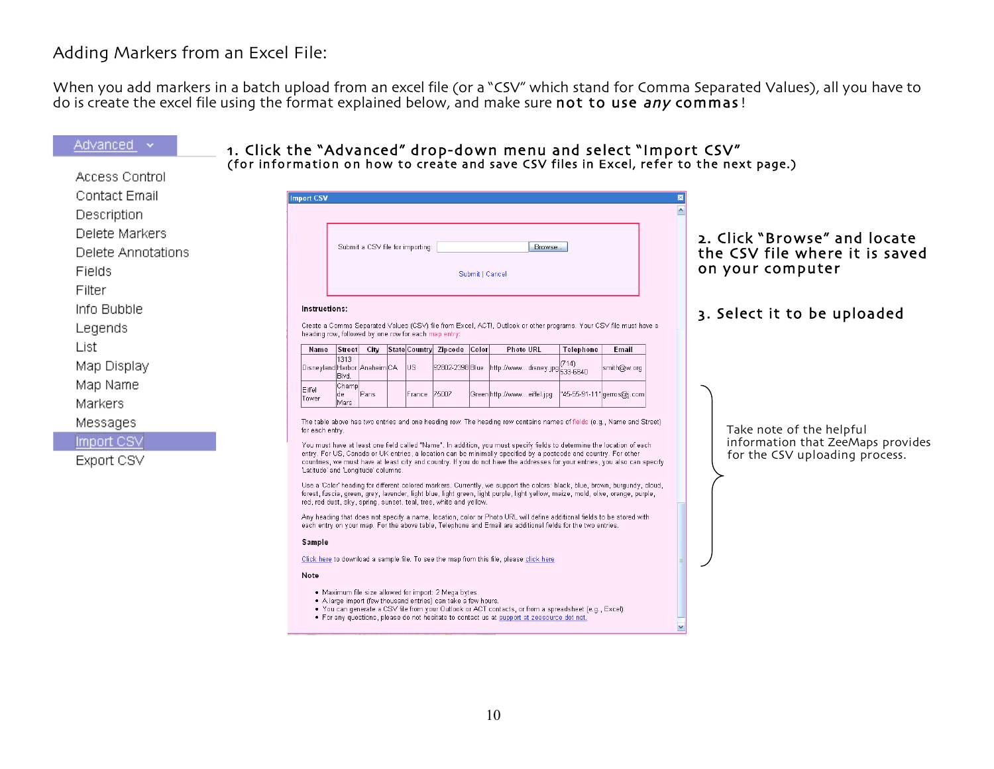### Adding Markers from an Excel File:

When you add markers in a batch upload from an excel file (or a "CSV" which stand for Comma Separated Values), all you have to do is create the excel file using the format explained below, and make sure not to use any commas!

#### Advanced **×** 1. Click the "Advanced" drop-down menu and select "Import CSV"<br>(for information on how to create and save CSV files in Excel, refer to the next page.) Access Control Contact Email **Import CSV**  $\sim$ Description Delete Markers 2. Click "Browse" and locate Submit a CSV file for importing Browse... the CSV file where it is saved Delete Annotations on your computer Fields Submit | Cancel Filter Info Bubble **Instructions** 3. Select it to be uploaded Create a Comma Separated Values (CSV) file from Excel, ACT!, Outlook or other programs. Your CSV file must have a Legends heading row, followed by one row for each map entry: List Name Street City State Country Zipcode Color **Photo URL** Telephone Email 1313  $(714)$ Map Display http://www...disney.jpg<sup>((14)</sup><br>533-6840 Disneyland Harbor Anaheim CA lus 92802-2398 Blue smith@w.org Blvd. Map Name Champ Eiffel lde Paris France 75007 Green http://www...eiffel.jpg "45-55-91-11" gerros@j.com Tower Mars Markers Messages The table above has two entries and one heading row. The heading row contains names of fields (e.g., Name and Street) Take note of the helpful for each entry. Import CSV information that ZeeMaps provides You must have at least one field called "Name". In addition, you must specify fields to determine the location of each entry. For US, Canada or UK entries, a location can be minimally specified by a postcode and country. For other for the CSV uploading process.Export CSV countries, we must have at least city and country. If you do not have the addresses for your entries, you also can specify 'Latitude' and 'Longitude' columns. Use a 'Color' heading for different colored markers. Currently, we support the colors: black, blue, brown, burgundy, cloud, forest, fuscia, green, grey, lavender, light blue, light green, light purple, light yellow, maize, mold, olive, orange, purple, red, red dust, sky, spring, sunset, teal, tree, white and yellow. Any heading that does not specify a name, location, color or Photo URL will define additional fields to be stored with each entry on your map. For the above table, Telephone and Email are additional fields for the two entries Sample Click here to download a sample file. To see the map from this file, please click here Note . Maximum file size allowed for import: 2 Mega bytes. . A large import (few thousand entries) can take a few hours. . You can generate a CSV file from your Outlook or ACT contacts, or from a spreadsheet (e.g., Excel). . For any questions, please do not hesitate to contact us at support at zeesource dot net.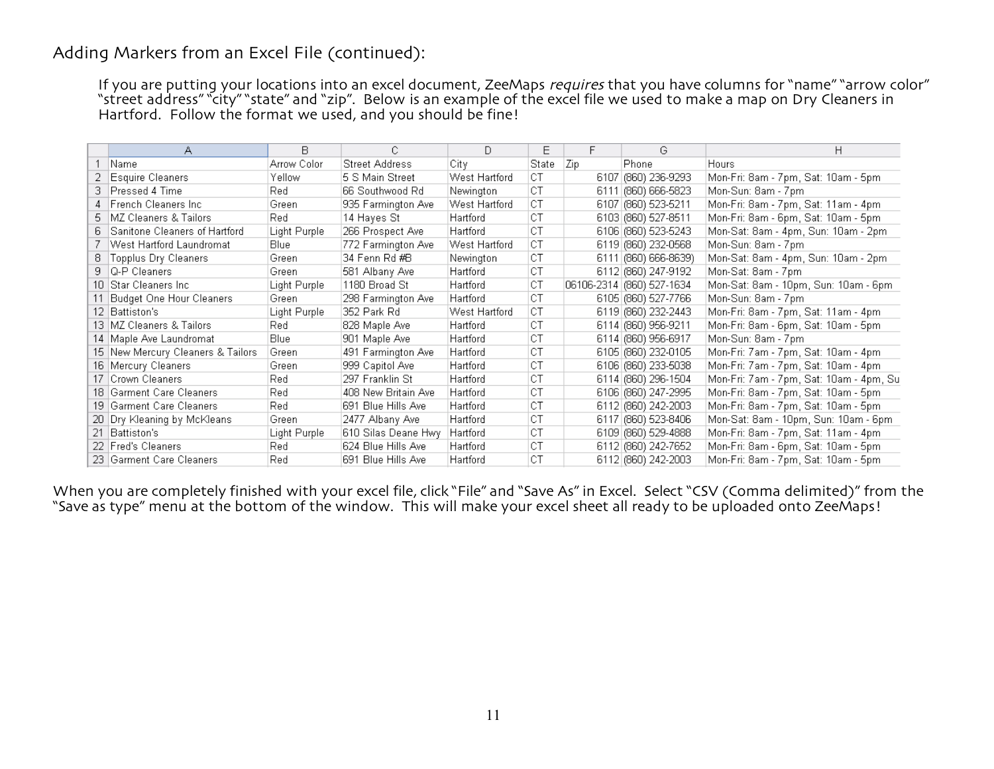### Adding Markers from an Excel File (continued):

If you are putting your locations into an excel document, ZeeMaps requires that you have columns for "name" "arrow color" "street address" "city" "state" and "zip". Below is an example of the excel file we used to make a map on Dry Cleaners in Hartford. Follow the format we used, and you should be fine!

|    | А                                 | В.           |                     | D             | Ε     | F   | G                         | H.                                      |
|----|-----------------------------------|--------------|---------------------|---------------|-------|-----|---------------------------|-----------------------------------------|
|    | Name                              | Arrow Color  | Street Address      | City          | State | Zip | Phone                     | Hours                                   |
|    | Esquire Cleaners                  | Yellow       | 5 S Main Street     | West Hartford | СT    |     | 6107 (860) 236-9293       | Mon-Fri: 8am - 7pm, Sat: 10am - 5pm.    |
|    | 3 Pressed 4 Time                  | Red          | 66 Southwood Rd     | Newington     | СT    |     | 6111 (860) 666-5823       | Mon-Sun: 8am - 7pm                      |
|    | 4 French Cleaners Inc.            | Green        | 935 Farmington Ave  | West Hartford | СT    |     | 6107 (860) 523-5211       | Mon-Fri: 8am - 7pm, Sat: 11am - 4pm     |
|    | 5   MZ Cleaners & Tailors         | Red          | 14 Hayes St         | Hartford      | СT    |     | 6103 (860) 527-8511       | Mon-Fri: 8am - 6pm, Sat: 10am - 5pm     |
| 6. | Sanitone Cleaners of Hartford     | Light Purple | 266 Prospect Ave    | Hartford      | СT    |     | 6106 (860) 523-5243       | Mon-Sat: 8am - 4pm, Sun: 10am - 2pm     |
|    | West Hartford Laundromat          | Blue         | 772 Farmington Ave  | West Hartford | СT    |     | 6119 (860) 232-0568       | Mon-Sun: 8am - 7pm                      |
| 8. | Topplus Dry Cleaners              | Green        | 34 Fenn Rd #B       | Newington     | СT    |     | 6111 (860) 666-8639)      | Mon-Sat: 8am - 4pm, Sun: 10am - 2pm     |
|    | 9 Q-P Cleaners                    | Green        | 581 Albany Ave      | Hartford      | СT    |     | 6112 (860) 247-9192       | Mon-Sat: 8am - 7pm                      |
|    | 10   Star Cleaners Inc.           | Light Purple | 1180 Broad St       | Hartford      | СT    |     | 06106-2314 (860) 527-1634 | Mon-Sat: 8am - 10pm, Sun: 10am - 6pm    |
|    | Budget One Hour Cleaners          | Green        | 298 Farmington Ave  | Hartford      | СT    |     | 6105 (860) 527-7766       | Mon-Sun: 8am - 7pm                      |
|    | 12 Battiston's                    | Light Purple | 352 Park Rd         | West Hartford | СT    |     | 6119 (860) 232-2443       | Mon-Fri: 8am - 7pm, Sat: 11am - 4pm     |
|    | 13   MZ Cleaners & Tailors        | Red          | 828 Maple Ave       | Hartford      | СT    |     | 6114 (860) 956-9211       | Mon-Fri: 8am - 6pm, Sat: 10am - 5pm     |
|    | 14   Maple Ave Laundromat         | Blue         | 901 Maple Ave       | Hartford      | СT    |     | 6114 (860) 956-6917       | Mon-Sun: 8am - 7pm                      |
|    | 15 New Mercury Cleaners & Tailors | Green        | 491 Farmington Ave  | Hartford      | СT    |     | 6105 (860) 232-0105       | Mon-Fri: 7am - 7pm, Sat: 10am - 4pm     |
|    | 16   Mercury Cleaners             | Green        | 999 Capitol Ave     | Hartford      | СT    |     | 6106 (860) 233-5038       | Mon-Fri: 7am - 7pm, Sat: 10am - 4pm.    |
|    | 17   Crown Cleaners               | Red          | 297 Franklin St     | Hartford      | СT    |     | 6114 (860) 296-1504       | Mon-Fri: 7am - 7pm, Sat: 10am - 4pm, Su |
|    | 18   Garment Care Cleaners        | Red          | 408 New Britain Ave | Hartford      | СT    |     | 6106 (860) 247-2995       | Mon-Fri: 8am - 7pm, Sat: 10am - 5pm     |
|    | 19   Garment Care Cleaners        | Red          | 691 Blue Hills Ave  | Hartford      | СT    |     | 6112 (660) 242-2003       | Mon-Fri: 8am - 7pm, Sat: 10am - 5pm     |
|    | 20 Dry Kleaning by McKleans       | Green        | 2477 Albany Ave     | Hartford      | СT    |     | 6117 (860) 523-8406       | Mon-Sat: 8am - 10pm, Sun: 10am - 6pm    |
|    | 21 Battiston's                    | Light Purple | 610 Silas Deane Hwy | Hartford      | СT    |     | 6109 (860) 529-4888       | Mon-Fri: 8am - 7pm, Sat: 11am - 4pm     |
|    | 22 Fred's Cleaners                | Red          | 624 Blue Hills Ave  | Hartford      | СT    |     | 6112 (860) 242-7652       | Mon-Fri: 8am - 6pm, Sat: 10am - 5pm     |
|    | 23 Garment Care Cleaners          | Red          | 691 Blue Hills Ave  | Hartford      | СT    |     | 6112 (860) 242-2003       | Mon-Fri: 8am - 7pm, Sat: 10am - 5pm     |

When you are completely finished with your excel file, click "File" and "Save As" in Excel. Select "CSV (Comma delimited)" from the "Save as type" menu at the bottom of the window. This will make your excel sheet all ready to be uploaded onto ZeeMaps!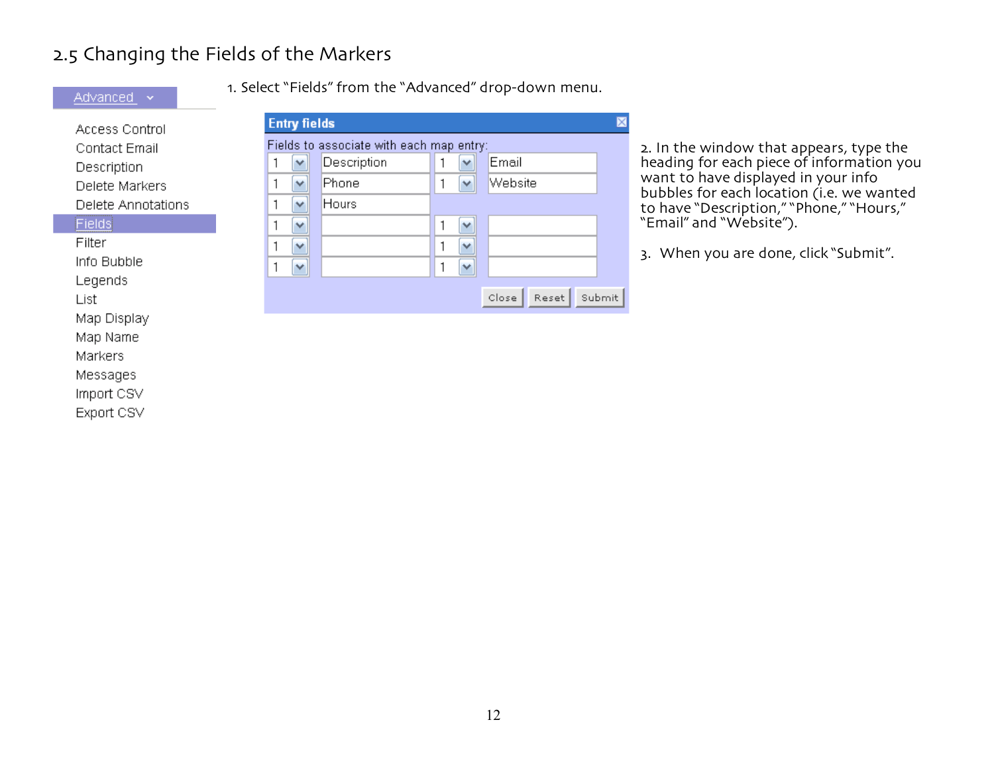# 2.5 Changing the Fields of the Markers

Advanced v

Map Name Markers Messages Import CSV Export CSV 1. Select "Fields" from the "Advanced" drop-down menu.

| Access Control     | <b>Entry fields</b>                                  |        |
|--------------------|------------------------------------------------------|--------|
| Contact Email      | Fields to associate with each map entry:             |        |
| Description        | Description<br>Email<br>$\checkmark$<br>$\checkmark$ |        |
| Delete Markers     | Website<br>Phone<br>v<br>×                           |        |
| Delete Annotations | Hours<br>٧                                           |        |
| <b>Fields</b>      | v<br>v                                               |        |
| Filter             | v<br>v                                               |        |
| Info Bubble        | ٧<br>$\checkmark$                                    |        |
| Legends            |                                                      |        |
| List               | Close<br>Reset                                       | Submit |
| Map Display        |                                                      |        |

2. In the window that appears, type the heading for each piece of information you want to have displayed in your info bubbles for each location (i.e. we wanted to have "Description," "Phone," "Hours," "Email" and "Website").

When you are done, click "Submit".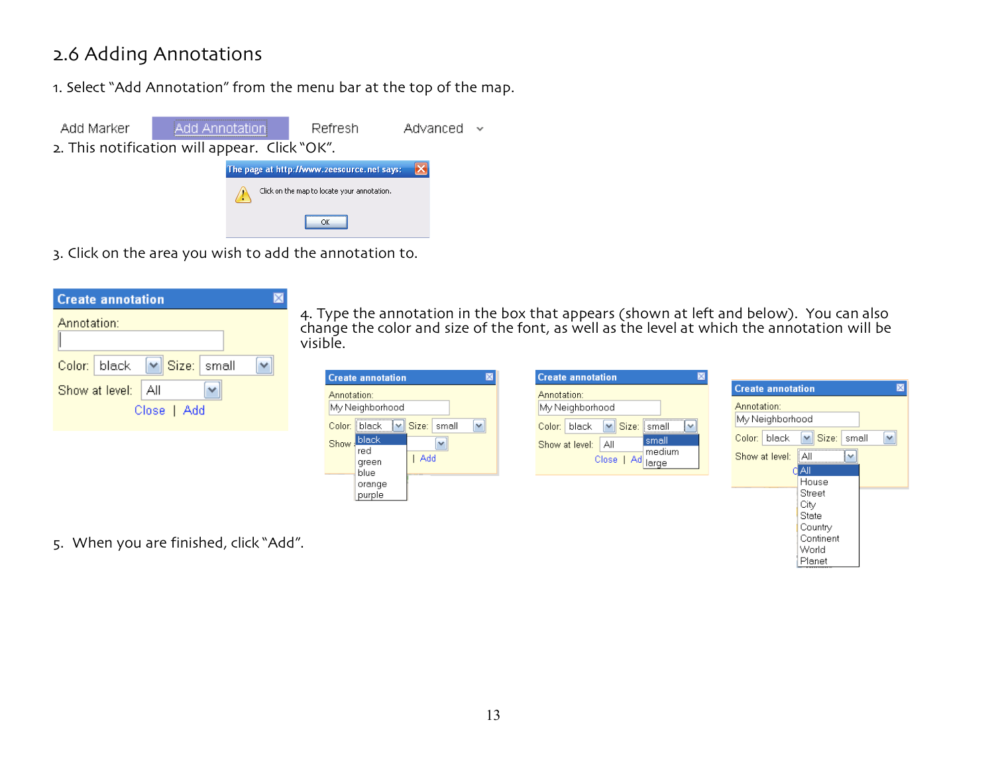# 2.6 Adding Annotations

1. Select "Add Annotation" from the menu bar at the top of the map.



3. Click on the area you wish to add the annotation to.



4. Type the annotation in the box that appears (shown at left and below). You can also change the color and size of the font, as well as the level at which the annotation will be visible.

| <b>Create annotation</b>                                                                                                                                | <b>Create annotation</b>                                                                                                                                      |                                                                                                                                                   |               |
|---------------------------------------------------------------------------------------------------------------------------------------------------------|---------------------------------------------------------------------------------------------------------------------------------------------------------------|---------------------------------------------------------------------------------------------------------------------------------------------------|---------------|
| Annotation:<br>My Neighborhood<br>$\checkmark$<br>Size:<br>small<br>Color: black<br>$\checkmark$<br>black.<br>Show:<br>v<br>red<br>Add<br>green<br>blue | Annotation:<br>My Neighborhood<br>Size: small<br>black<br>$\checkmark$<br>Color:<br>$\sim$<br>small<br>All<br>Show at level:<br>medium<br>Close   Ad<br>large | <b>Create annotation</b><br>Annotation:<br>My Neighborhood<br>$\vee$ Size:<br>black<br>small<br>Color:<br><br>Show at level:<br>Αll<br>v<br>I All | $\times$<br>× |
| orange<br>purple                                                                                                                                        |                                                                                                                                                               | House<br>Street<br>City<br>State                                                                                                                  |               |

Country Continent World Planet

5. When you are finished, click "Add".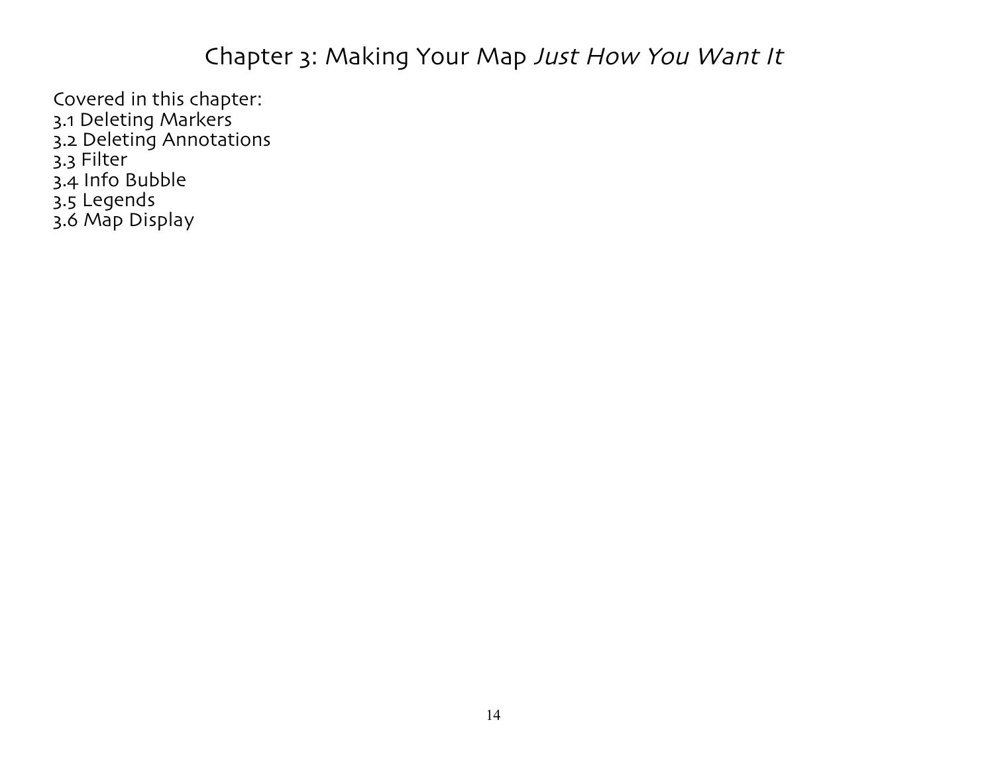# Chapter 3: Making Your Map Just How You Want It

Covered in this chapter: 3.1 Deleting Markers 3.2 Deleting Annotations 3.3 Filter 3.4 Info Bubble 3.5 Legends 3.6 Map Display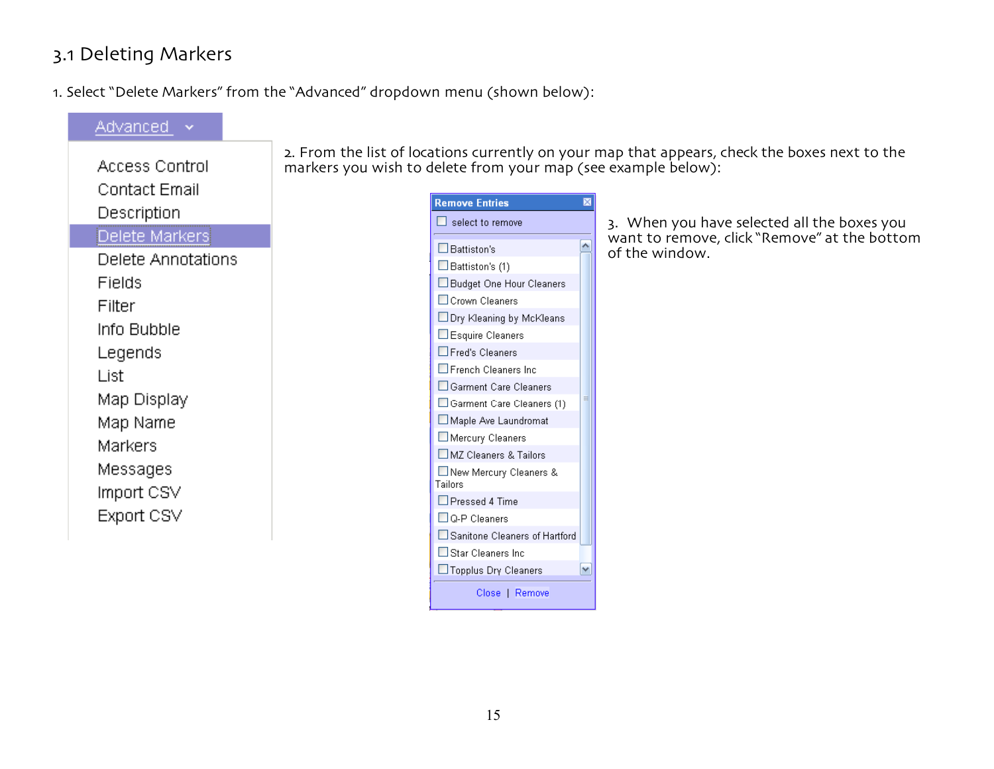# 3.1 Deleting Markers

1. Select "Delete Markers" from the "Advanced" dropdown menu (shown below):

| Advanced           |
|--------------------|
| Access Control     |
|                    |
| Contact Email      |
| Description        |
| Delete Markers     |
| Delete Annotations |
| Fields             |
| Filter             |
| Info Bubble        |
| Legends            |
| List               |
| Map Display        |
| Map Name           |
| Markers            |
| Messages           |
| Import CSV         |
| Export CSV         |
|                    |

2. From the list of locations currently on your map that appears, check the boxes next to the markers you wish to delete from your map (see example below):

| <b>Remove Entries</b>               |   |
|-------------------------------------|---|
| select to remove                    |   |
| $\Box$ Battiston's                  |   |
| $\Box$ Battiston's (1)              |   |
| Budget One Hour Cleaners            |   |
| Crown Cleaners                      |   |
| □ Dry Kleaning by McKleans          |   |
| Esquire Cleaners                    |   |
| $\square$ Fred's Cleaners           |   |
| $\Box$ French Cleaners Inc          |   |
| Garment Care Cleaners               |   |
| Garment Care Cleaners (1)           | Ξ |
| Maple Ave Laundromat                |   |
| Mercury Cleaners                    |   |
| MZ Cleaners & Tailors               |   |
| ∐ New Mercury Cleaners &<br>Tailors |   |
| $\Box$ Pressed 4 Time               |   |
| $\Box$ Q-P Cleaners                 |   |
| Sanitone Cleaners of Hartford       |   |
| $\Box$ Star Cleaners Inc            |   |
| □ Topplus Drγ Cleaners              |   |
| Close   Remove                      |   |

3. When you have selected all the boxes you want to remove, click "Remove" at the bottom of the window.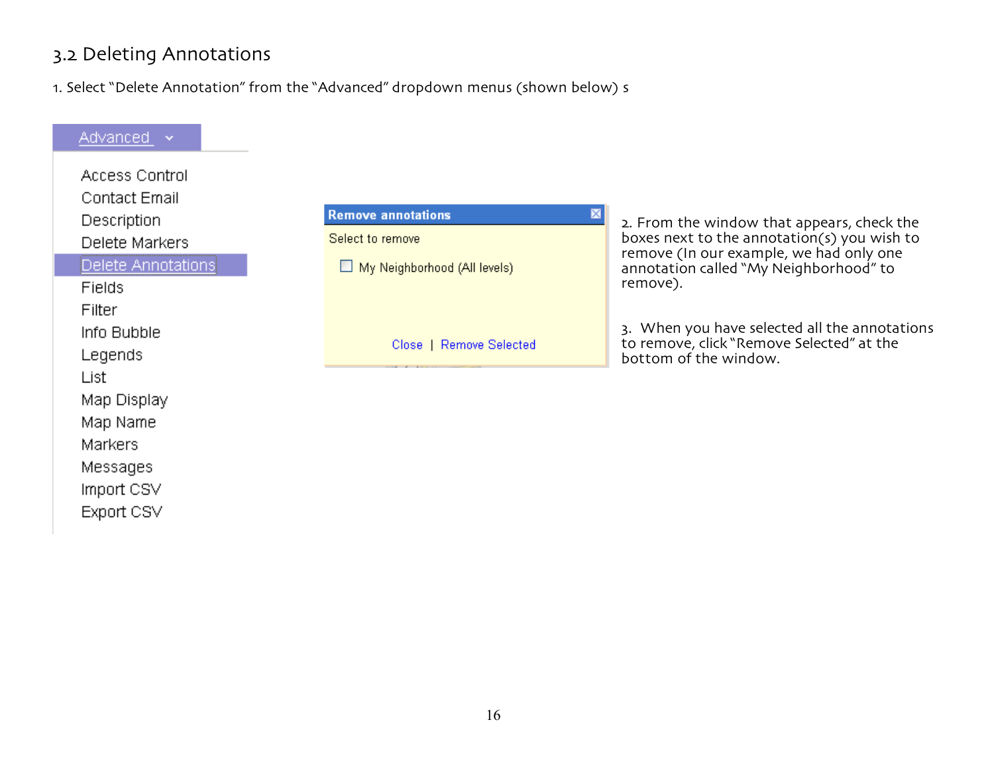# 3.2 Deleting Annotations

1. Select "Delete Annotation" from the "Advanced" dropdown menus (shown below) s

| Advanced Y         |                                          |                                                                                           |
|--------------------|------------------------------------------|-------------------------------------------------------------------------------------------|
| Access Control     |                                          |                                                                                           |
| Contact Email      |                                          |                                                                                           |
| Description        | <b>Remove annotations</b><br>$\boxtimes$ |                                                                                           |
| Delete Markers     | Select to remove                         | 2. From the window that appears, check the<br>boxes next to the annotation(s) you wish to |
| Delete Annotations | My Neighborhood (All levels)             | remove (In our example, we had only one<br>annotation called "My Neighborhood" to         |
| Fields             |                                          | remove).                                                                                  |
| Filter             |                                          |                                                                                           |
| Info Bubble        |                                          | 3. When you have selected all the annotations                                             |
| Legends            | Close   Remove Selected                  | to remove, click "Remove Selected" at the<br>bottom of the window.                        |
| List               |                                          |                                                                                           |
| Map Display        |                                          |                                                                                           |
| Map Name           |                                          |                                                                                           |
| <b>Markers</b>     |                                          |                                                                                           |
| Messages           |                                          |                                                                                           |
| Import CSV         |                                          |                                                                                           |
| Export CSV         |                                          |                                                                                           |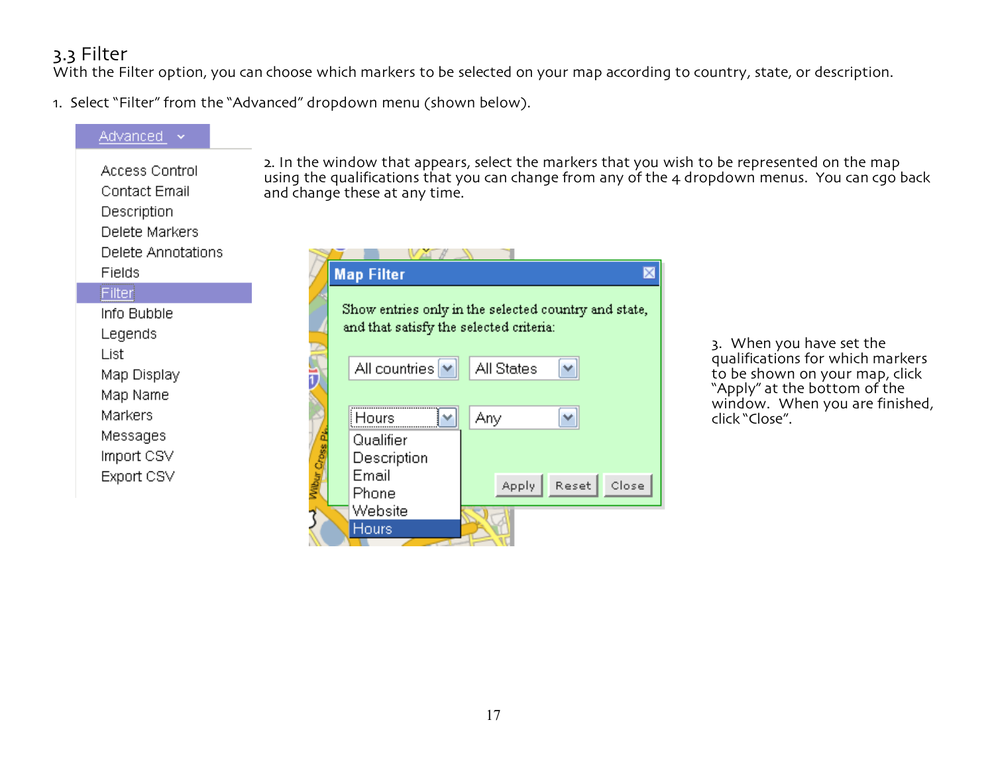# 3.3 Filter

With the Filter option, you can choose which markers to be selected on your map according to country, state, or description.

1. Select "Filter" from the "Advanced" dropdown menu (shown below).



2. In the window that appears, select the markers that you wish to be represented on the map using the qualifications that you can change from any of the 4 dropdown menus. You can cgo back

> 3. When you have set the qualifications for which markers<br>to be shown on your map, click "Apply" at the bottom of the window. When you are finished,<br>click "Close".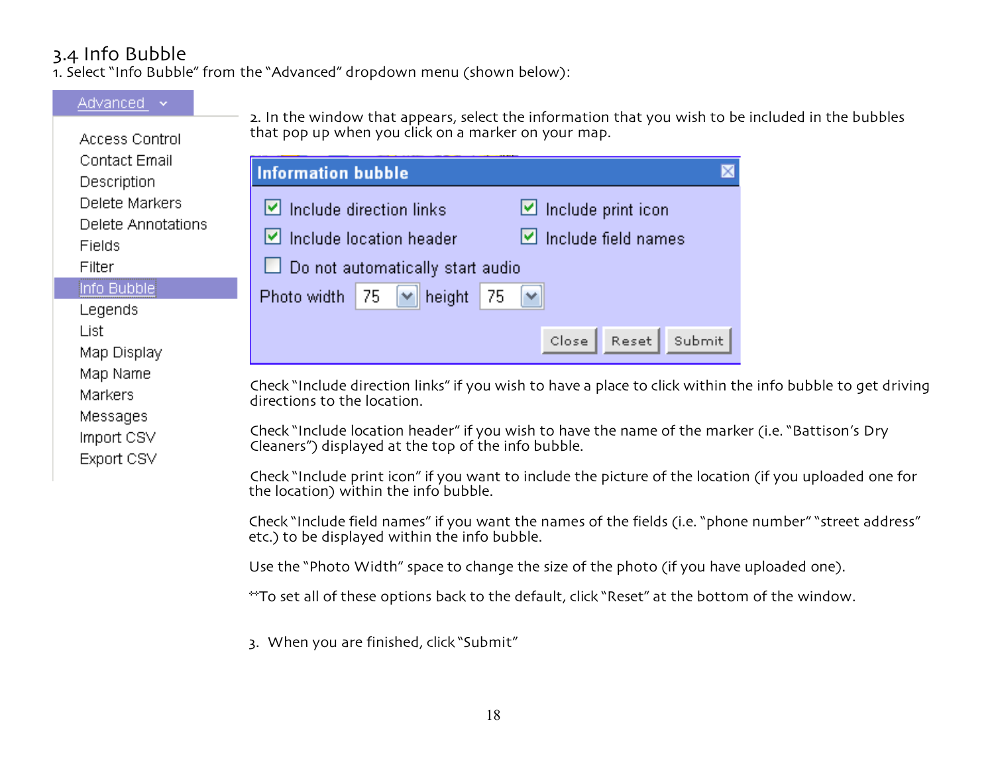# 3.4 Info Bubble

1. Select "Info Bubble" from the "Advanced" dropdown menu (shown below):

#### Advanced v 2. In the window that appears, select the information that you wish to be included in the bubbles that pop up when you click on a marker on your map. Access Control Contact Email **Information bubble**  $\mathbin{\times}$ Description Delete Markers  $\triangleright$  Include direction links ⊻ Include print icon Delete Annotations  $\vee$  Include location header M Include field names **Fields** Do not automatically start audio Filter Info Bubble Photo width 75 height 75  $\checkmark$ Legends List Reset Submit Close Map Display Map Name Check "Include direction links" if you wish to have a place to click within the info bubble to get driving Markers directions to the location. Messages Check "Include location header" if you wish to have the name of the marker (i.e. "Battison's Dry Import CSV Cleaners") displayed at the top of the info bubble. Export CSV Check "Include print icon" if you want to include the picture of the location (if you uploaded one for the location) within the info bubble.

Check "Include field names" if you want the names of the fields (i.e. "phone number" "street address" etc.) to be displayed within the info bubble.

Use the "Photo Width" space to change the size of the photo (if you have uploaded one).

\*\*To set all of these options back to the default, click "Reset" at the bottom of the window.

3. When you are finished, click "Submit"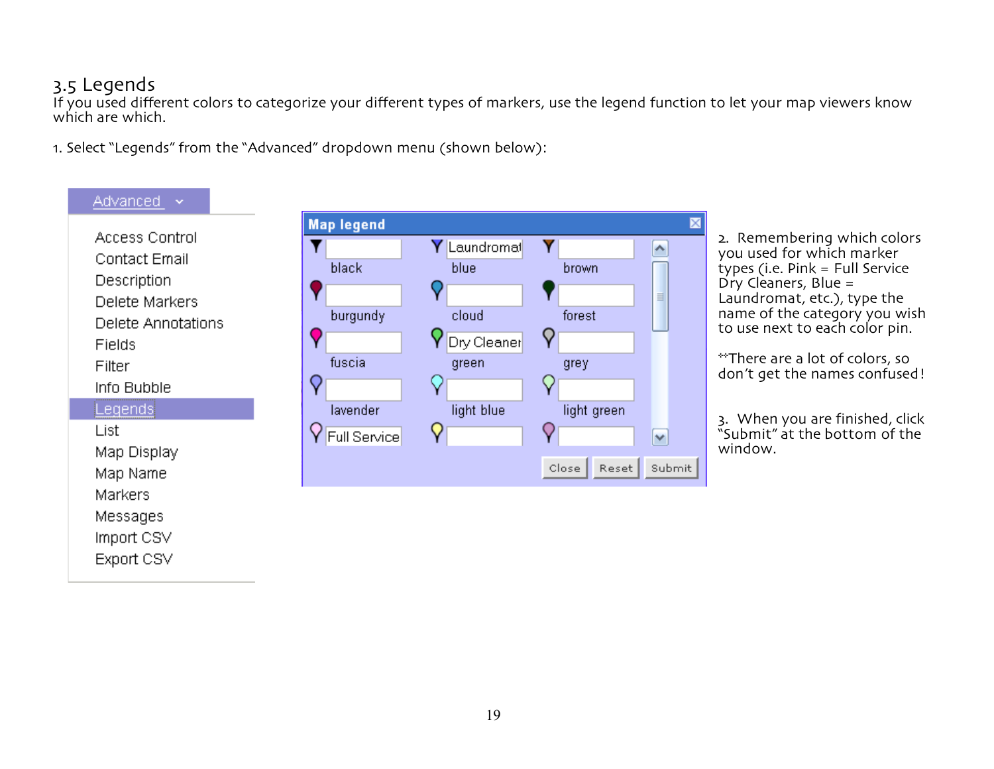### 3.5 Legends

If you used different colors to categorize your different types of markers, use the legend function to let your map viewers know which are which.

1. Select "Legends" from the "Advanced" dropdown menu (shown below):

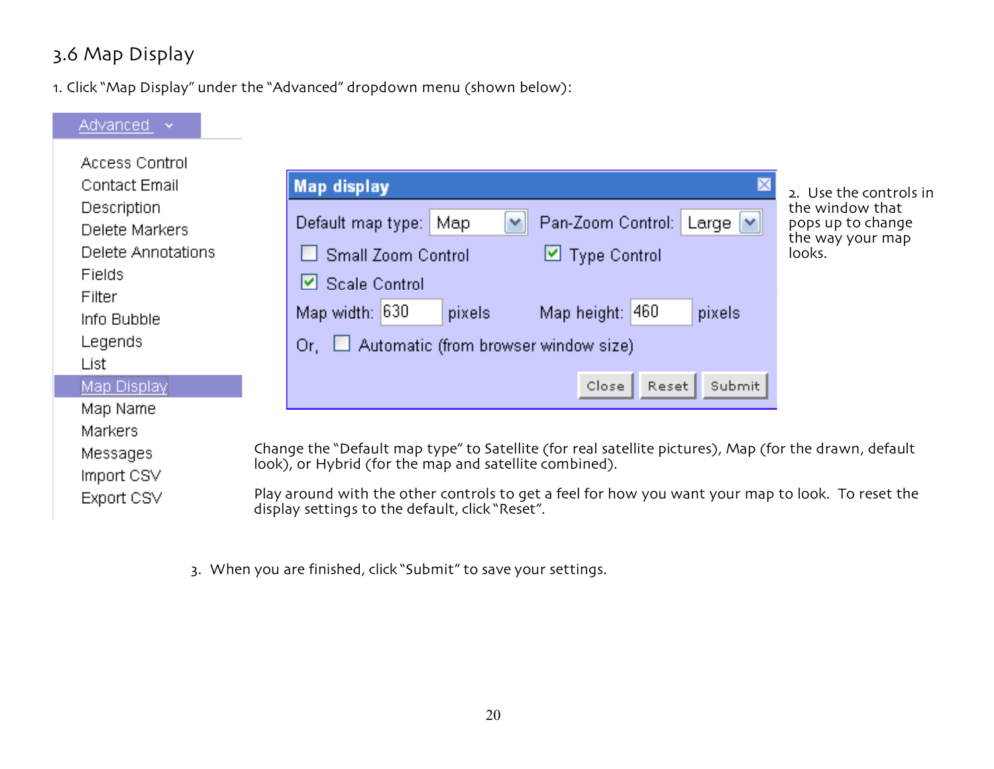# 3.6 Map Display

1. Click "Map Display" under the "Advanced" dropdown menu (shown below):



3. When you are finished, click "Submit" to save your settings.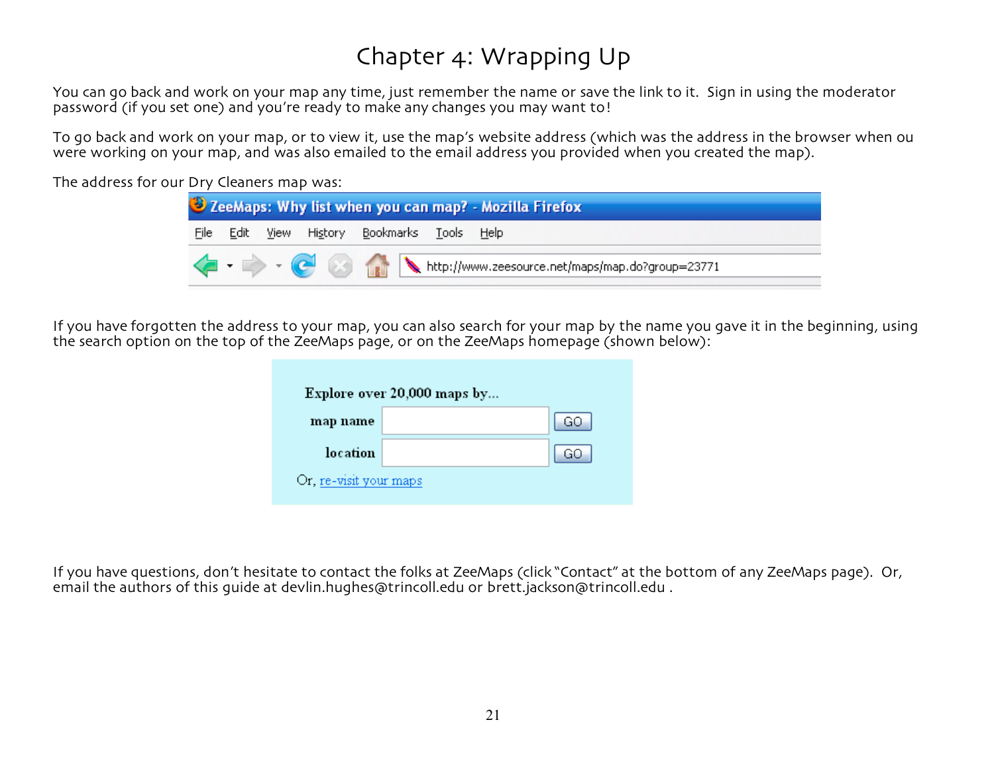# Chapter 4: Wrapping Up

You can go back and work on your map any time, just remember the name or save the link to it. Sign in using the moderator password (if you set one) and you're ready to make any changes you may want to!

To go back and work on your map, or to view it, use the map's website address (which was the address in the browser when ou were working on your map, and was also emailed to the email address you provided when you created the map).

The address for our Dry Cleaners map was:



If you have forgotten the address to your map, you can also search for your map by the name you gave it in the beginning, using the search option on the top of the ZeeMaps page, or on the ZeeMaps homepage (shown below):

|                        | Explore over 20,000 maps by |
|------------------------|-----------------------------|
| map name               | GO                          |
| location               | GO                          |
| Or, re-visit your maps |                             |

If you have questions, don't hesitate to contact the folks at ZeeMaps (click "Contact" at the bottom of any ZeeMaps page). Or, email the authors of this guide at devlin.hughes@trincoll.edu or brett.jackson@trincoll.edu .